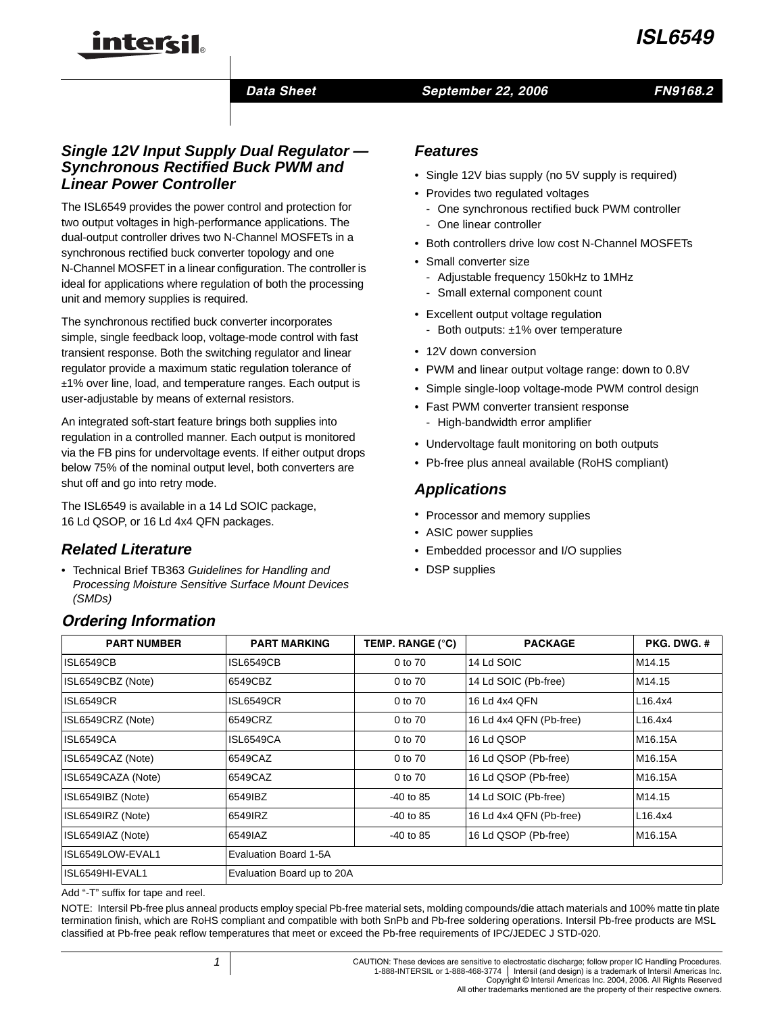#### *Data Sheet September 22, 2006 FN9168.2*

## *Single 12V Input Supply Dual Regulator — Synchronous Rectified Buck PWM and Linear Power Controller*

intersil

The ISL6549 provides the power control and protection for two output voltages in high-performance applications. The dual-output controller drives two N-Channel MOSFETs in a synchronous rectified buck converter topology and one N-Channel MOSFET in a linear configuration. The controller is ideal for applications where regulation of both the processing unit and memory supplies is required.

The synchronous rectified buck converter incorporates simple, single feedback loop, voltage-mode control with fast transient response. Both the switching regulator and linear regulator provide a maximum static regulation tolerance of ±1% over line, load, and temperature ranges. Each output is user-adjustable by means of external resistors.

An integrated soft-start feature brings both supplies into regulation in a controlled manner. Each output is monitored via the FB pins for undervoltage events. If either output drops below 75% of the nominal output level, both converters are shut off and go into retry mode.

The ISL6549 is available in a 14 Ld SOIC package, 16 Ld QSOP, or 16 Ld 4x4 QFN packages.

# *Related Literature*

*Ordering Information*

• Technical Brief TB363 *Guidelines for Handling and Processing Moisture Sensitive Surface Mount Devices (SMDs)*

#### *Features*

- Single 12V bias supply (no 5V supply is required)
- Provides two regulated voltages
	- One synchronous rectified buck PWM controller
	- One linear controller
- Both controllers drive low cost N-Channel MOSFETs
- Small converter size
	- Adjustable frequency 150kHz to 1MHz
	- Small external component count
- Excellent output voltage regulation
	- Both outputs: ±1% over temperature
- 12V down conversion
- PWM and linear output voltage range: down to 0.8V
- Simple single-loop voltage-mode PWM control design
- Fast PWM converter transient response
	- High-bandwidth error amplifier
- Undervoltage fault monitoring on both outputs
- Pb-free plus anneal available (RoHS compliant)

## *Applications*

- Processor and memory supplies
- ASIC power supplies
- Embedded processor and I/O supplies
- DSP supplies

| <b>PART NUMBER</b> | <b>PART MARKING</b>        | TEMP. RANGE (°C) | <b>PACKAGE</b>          | <b>PKG. DWG. #</b>   |
|--------------------|----------------------------|------------------|-------------------------|----------------------|
| ISL6549CB          | ISL6549CB                  | 0 to 70          | 14 Ld SOIC              | M14.15               |
| ISL6549CBZ (Note)  | 6549CBZ                    | 0 to 70          | 14 Ld SOIC (Pb-free)    | M14.15               |
| <b>ISL6549CR</b>   | ISL6549CR                  | 0 to 70          | 16 Ld 4x4 QFN           | L16.4x4              |
| ISL6549CRZ (Note)  | 6549CRZ                    | 0 to 70          | 16 Ld 4x4 QFN (Pb-free) | L16.4x4              |
| ISL6549CA          | ISL6549CA                  | 0 to 70          | 16 Ld QSOP              | M <sub>16.15</sub> A |
| ISL6549CAZ (Note)  | 6549CAZ                    | 0 to 70          | 16 Ld QSOP (Pb-free)    | M16.15A              |
| ISL6549CAZA (Note) | 6549CAZ                    | 0 to 70          | 16 Ld QSOP (Pb-free)    | M16.15A              |
| ISL6549IBZ (Note)  | 6549IBZ                    | $-40$ to 85      | 14 Ld SOIC (Pb-free)    | M14.15               |
| ISL6549IRZ (Note)  | 6549IRZ                    | $-40$ to 85      | 16 Ld 4x4 QFN (Pb-free) | L16.4x4              |
| ISL6549IAZ (Note)  | 6549IAZ                    | $-40$ to 85      | 16 Ld QSOP (Pb-free)    | M16.15A              |
| ISL6549LOW-EVAL1   | Evaluation Board 1-5A      |                  |                         |                      |
| ISL6549HI-EVAL1    | Evaluation Board up to 20A |                  |                         |                      |

Add "-T" suffix for tape and reel.

NOTE: Intersil Pb-free plus anneal products employ special Pb-free material sets, molding compounds/die attach materials and 100% matte tin plate termination finish, which are RoHS compliant and compatible with both SnPb and Pb-free soldering operations. Intersil Pb-free products are MSL classified at Pb-free peak reflow temperatures that meet or exceed the Pb-free requirements of IPC/JEDEC J STD-020.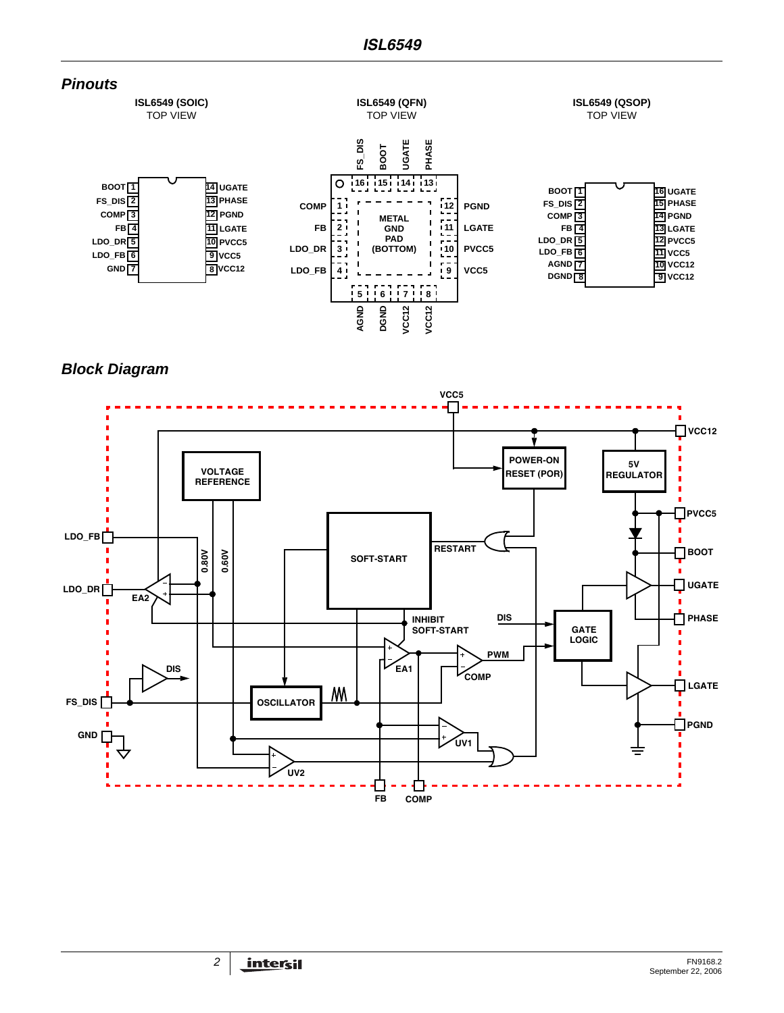

# <span id="page-1-0"></span>*Block Diagram*

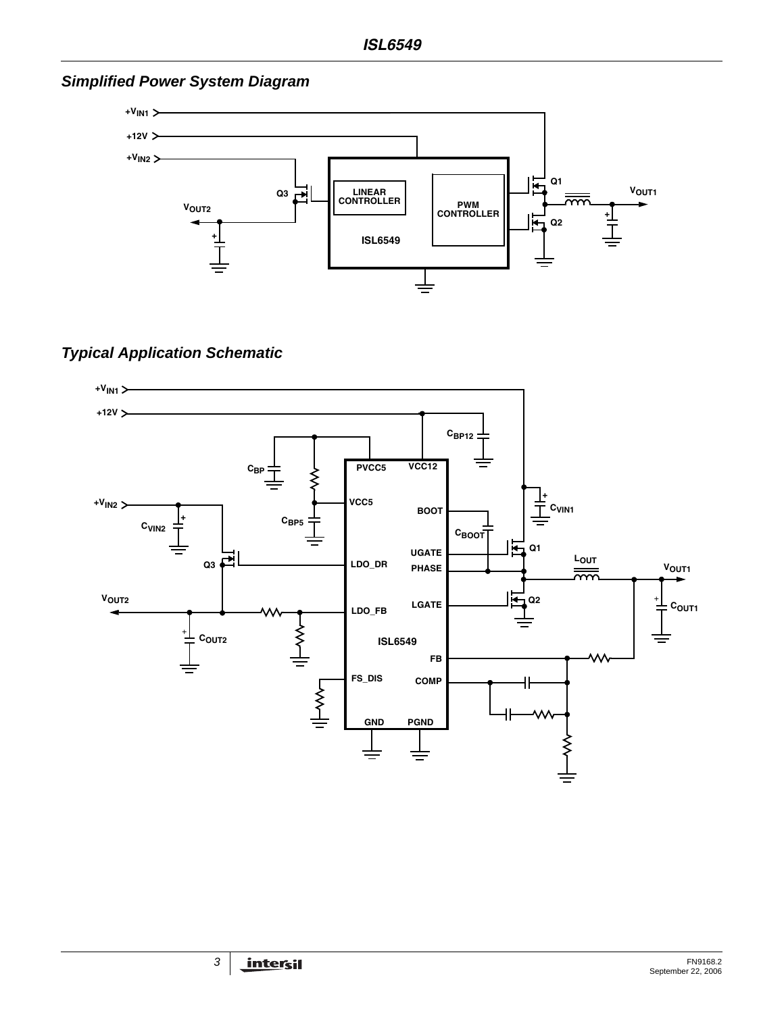<span id="page-2-0"></span>*Simplified Power System Diagram*



# <span id="page-2-1"></span>*Typical Application Schematic*

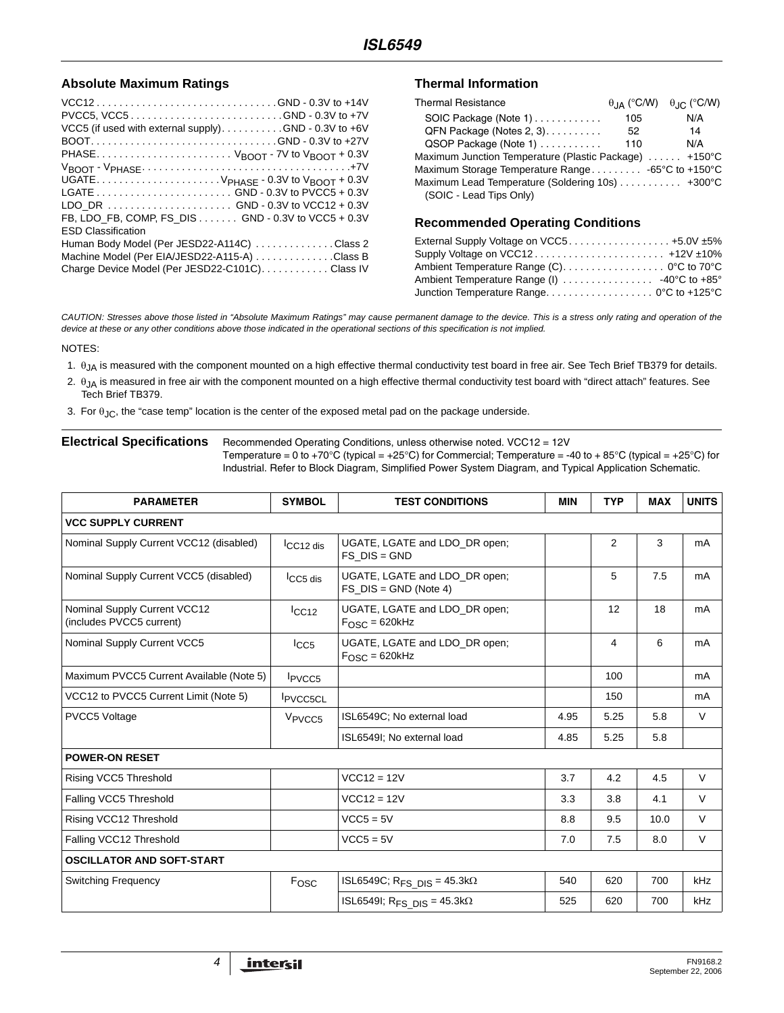#### Absolute Maximum Ratings **Thermal Information**

| VCC12GND - 0.3V to +14V<br>PVCC5, VCC5GND - 0.3V to +7V<br>VCC5 (if used with external supply). GND - 0.3V to +6V<br>PHASE $V_{BNOT} - 7V$ to $V_{BNOT} + 0.3V$<br>LDO DR  GND - 0.3V to VCC12 + 0.3V<br>FB, LDO_FB, COMP, FS_DIS GND - 0.3V to VCC5 + 0.3V<br><b>ESD Classification</b> |
|------------------------------------------------------------------------------------------------------------------------------------------------------------------------------------------------------------------------------------------------------------------------------------------|
| Human Body Model (Per JESD22-A114C) Class 2<br>Machine Model (Per EIA/JESD22-A115-A) Class B<br>Charge Device Model (Per JESD22-C101C). Class IV                                                                                                                                         |

| <b>Thermal Resistance</b>                                                  |     | $\theta$ , $\alpha$ (°C/W) $\theta$ , $\alpha$ (°C/W) |
|----------------------------------------------------------------------------|-----|-------------------------------------------------------|
| SOIC Package (Note 1)                                                      | 105 | N/A                                                   |
| QFN Package (Notes 2, 3).                                                  | 52  | 14                                                    |
| QSOP Package (Note 1)                                                      | 110 | N/A                                                   |
| Maximum Junction Temperature (Plastic Package)  +150°C                     |     |                                                       |
| Maximum Storage Temperature Range -65°C to +150°C                          |     |                                                       |
| Maximum Lead Temperature (Soldering 10s) +300°C<br>(SOIC - Lead Tips Only) |     |                                                       |

#### **Recommended Operating Conditions**

| External Supply Voltage on VCC5 +5.0V $\pm$ 5% |  |
|------------------------------------------------|--|
| Supply Voltage on VCC12 +12V ±10%              |  |
| Ambient Temperature Range (C) 0°C to 70°C      |  |
| Ambient Temperature Range (I)  -40°C to +85°   |  |
| Junction Temperature Range 0°C to +125°C       |  |

*CAUTION: Stresses above those listed in "Absolute Maximum Ratings" may cause permanent damage to the device. This is a stress only rating and operation of the device at these or any other conditions above those indicated in the operational sections of this specification is not implied.*

#### NOTES:

- <span id="page-3-0"></span>1.  $\theta_{JA}$  is measured with the component mounted on a high effective thermal conductivity test board in free air. See Tech Brief TB379 for details.
- 2.  $\theta_{JA}$  is measured in free air with the component mounted on a high effective thermal conductivity test board with "direct attach" features. See Tech Brief TB379.
- <span id="page-3-1"></span>3. For  $\theta_{\text{JC}}$ , the "case temp" location is the center of the exposed metal pad on the package underside.

**Electrical Specifications** Recommended Operating Conditions, unless otherwise noted. VCC12 = 12V

Temperature = 0 to +70°C (typical = +25°C) for Commercial; Temperature = -40 to + 85°C (typical = +25°C) for Industrial. Refer to [Block Diagram,](#page-1-0) [Simplified Power System Diagram,](#page-2-0) and [Typical Application Schematic](#page-2-1).

| <b>PARAMETER</b>                                         | <b>SYMBOL</b>              | <b>TEST CONDITIONS</b>                                      | <b>MIN</b> | <b>TYP</b> | <b>MAX</b> | <b>UNITS</b> |  |  |
|----------------------------------------------------------|----------------------------|-------------------------------------------------------------|------------|------------|------------|--------------|--|--|
| <b>VCC SUPPLY CURRENT</b>                                |                            |                                                             |            |            |            |              |  |  |
| Nominal Supply Current VCC12 (disabled)                  | $ICC12$ dis                | UGATE, LGATE and LDO DR open;<br>$FS$ $DIS = GND$           |            | 2          | 3          | mA           |  |  |
| Nominal Supply Current VCC5 (disabled)                   | $ICC5$ dis                 | UGATE, LGATE and LDO DR open;<br>$FS_DIS = GND$ (Note 4)    |            | 5          | 7.5        | mA           |  |  |
| Nominal Supply Current VCC12<br>(includes PVCC5 current) | ICC12                      | UGATE, LGATE and LDO DR open;<br>$FOSC = 620kHz$            |            | 12         | 18         | mA           |  |  |
| Nominal Supply Current VCC5                              | ICC <sub>5</sub>           | UGATE, LGATE and LDO_DR open;<br>$F_{\text{OSC}} = 620$ kHz |            | 4          | 6          | mA           |  |  |
| Maximum PVCC5 Current Available (Note 5)                 | <b>I</b> PVCC <sub>5</sub> |                                                             |            | 100        |            | mA           |  |  |
| VCC12 to PVCC5 Current Limit (Note 5)                    | <b>IPVCC5CL</b>            |                                                             |            | 150        |            | mA           |  |  |
| PVCC5 Voltage                                            | V <sub>PVCC5</sub>         | ISL6549C; No external load                                  | 4.95       | 5.25       | 5.8        | $\vee$       |  |  |
|                                                          |                            | ISL6549I; No external load                                  | 4.85       | 5.25       | 5.8        |              |  |  |
| <b>POWER-ON RESET</b>                                    |                            |                                                             |            |            |            |              |  |  |
| Rising VCC5 Threshold                                    |                            | $VCC12 = 12V$                                               | 3.7        | 4.2        | 4.5        | $\vee$       |  |  |
| Falling VCC5 Threshold                                   |                            | $VCC12 = 12V$                                               | 3.3        | 3.8        | 4.1        | V            |  |  |
| Rising VCC12 Threshold                                   |                            | $VCC5 = 5V$                                                 | 8.8        | 9.5        | 10.0       | V            |  |  |
| Falling VCC12 Threshold                                  |                            | $VCC5 = 5V$                                                 | 7.0        | 7.5        | 8.0        | V            |  |  |
| <b>OSCILLATOR AND SOFT-START</b>                         |                            |                                                             |            |            |            |              |  |  |
| <b>Switching Frequency</b>                               | Fosc                       | ISL6549C; $R_{FS\_DIS}$ = 45.3k $\Omega$                    | 540        | 620        | 700        | kHz          |  |  |
|                                                          |                            | ISL6549I; $R_{FS\_DIS}$ = 45.3k $\Omega$                    | 525        | 620        | 700        | kHz          |  |  |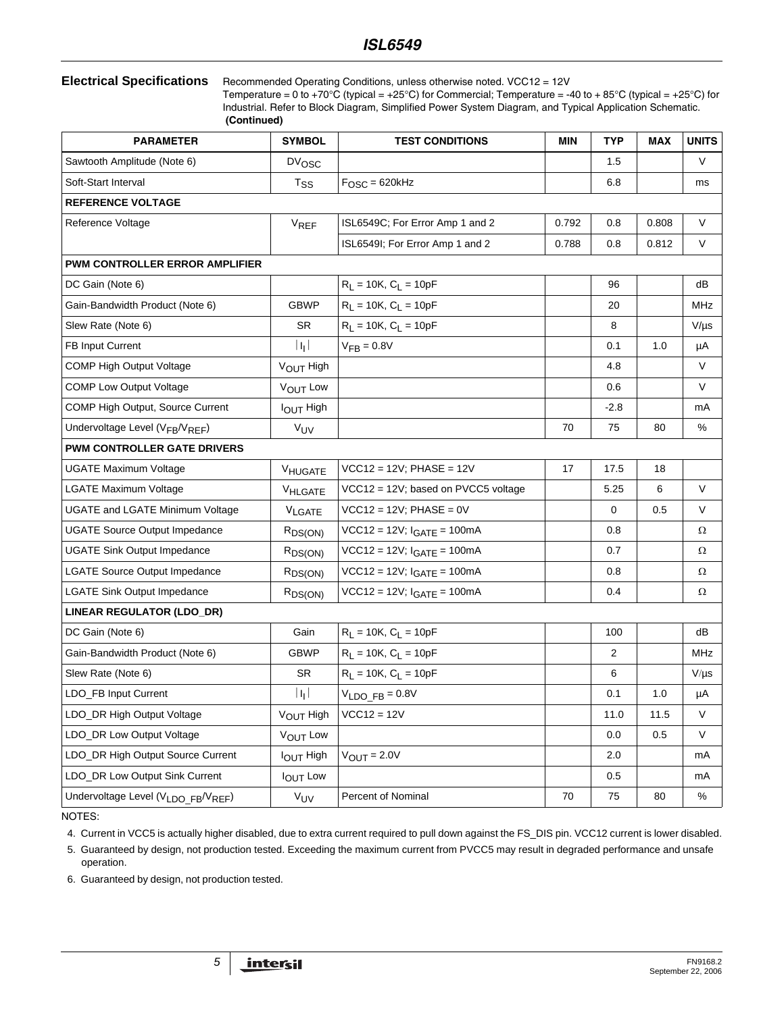**Electrical Specifications** Recommended Operating Conditions, unless otherwise noted. VCC12 = 12V

Temperature = 0 to +70°C (typical = +25°C) for Commercial; Temperature = -40 to + 85°C (typical = +25°C) for Industrial. Refer to Block Diagram, Simplified Power System Diagram, and Typical Application Schematic.  **(Continued)**

| <b>PARAMETER</b>                                            | <b>SYMBOL</b>         | <b>TEST CONDITIONS</b>              | MIN   | <b>TYP</b> | <b>MAX</b> | <b>UNITS</b> |  |  |  |
|-------------------------------------------------------------|-----------------------|-------------------------------------|-------|------------|------------|--------------|--|--|--|
| Sawtooth Amplitude (Note 6)                                 | <b>DVosc</b>          |                                     |       | 1.5        |            | V            |  |  |  |
| Soft-Start Interval                                         | $T_{SS}$              | $FOSC = 620kHz$                     |       | 6.8        |            | ms           |  |  |  |
| <b>REFERENCE VOLTAGE</b>                                    |                       |                                     |       |            |            |              |  |  |  |
| Reference Voltage                                           | <b>VREF</b>           | ISL6549C; For Error Amp 1 and 2     | 0.792 | 0.8        | 0.808      | V            |  |  |  |
|                                                             |                       | ISL6549I; For Error Amp 1 and 2     | 0.788 | 0.8        | 0.812      | $\vee$       |  |  |  |
| PWM CONTROLLER ERROR AMPLIFIER                              |                       |                                     |       |            |            |              |  |  |  |
| DC Gain (Note 6)                                            |                       | $R_L = 10K$ , $C_L = 10pF$          |       | 96         |            | dB           |  |  |  |
| Gain-Bandwidth Product (Note 6)                             | <b>GBWP</b>           | $R_L = 10K$ , $C_L = 10pF$          |       | 20         |            | MHz          |  |  |  |
| Slew Rate (Note 6)                                          | SR                    | $R_L = 10K$ , $C_L = 10pF$          |       | 8          |            | $V/\mu s$    |  |  |  |
| FB Input Current                                            | Tŋl                   | $VFB = 0.8V$                        |       | 0.1        | 1.0        | μA           |  |  |  |
| <b>COMP High Output Voltage</b>                             | VOUT High             |                                     |       | 4.8        |            | V            |  |  |  |
| <b>COMP Low Output Voltage</b>                              | VOUT LOW              |                                     |       | 0.6        |            | V            |  |  |  |
| COMP High Output, Source Current                            | I <sub>OUT</sub> High |                                     |       | $-2.8$     |            | mA           |  |  |  |
| Undervoltage Level (V <sub>FB</sub> /V <sub>RFF</sub> )     | <b>V<sub>UV</sub></b> |                                     | 70    | 75         | 80         | %            |  |  |  |
| <b>PWM CONTROLLER GATE DRIVERS</b>                          |                       |                                     |       |            |            |              |  |  |  |
| <b>UGATE Maximum Voltage</b>                                | VHUGATE               | $VCC12 = 12V$ ; PHASE = 12V         | 17    | 17.5       | 18         |              |  |  |  |
| <b>LGATE Maximum Voltage</b>                                | <b>VHLGATE</b>        | VCC12 = 12V; based on PVCC5 voltage |       | 5.25       | 6          | V            |  |  |  |
| <b>UGATE and LGATE Minimum Voltage</b>                      | <b>VLGATE</b>         | $VCC12 = 12V$ ; PHASE = 0V          |       | 0          | 0.5        | V            |  |  |  |
| <b>UGATE Source Output Impedance</b>                        | R <sub>DS(ON)</sub>   | $VCC12 = 12V; IGATE = 100mA$        |       | 0.8        |            | Ω            |  |  |  |
| <b>UGATE Sink Output Impedance</b>                          | R <sub>DS(ON)</sub>   | $VCC12 = 12V$ ; $IGATE = 100mA$     |       | 0.7        |            | Ω            |  |  |  |
| <b>LGATE Source Output Impedance</b>                        | $R_{DS(ON)}$          | $VCC12 = 12V; IGATE = 100mA$        |       | 0.8        |            | Ω            |  |  |  |
| <b>LGATE Sink Output Impedance</b>                          | R <sub>DS(ON)</sub>   | $VCC12 = 12V; IGATE = 100mA$        |       | 0.4        |            | Ω            |  |  |  |
| LINEAR REGULATOR (LDO_DR)                                   |                       |                                     |       |            |            |              |  |  |  |
| DC Gain (Note 6)                                            | Gain                  | $R_L = 10K$ , $C_L = 10pF$          |       | 100        |            | dB           |  |  |  |
| Gain-Bandwidth Product (Note 6)                             | <b>GBWP</b>           | $R_L = 10K$ , $C_L = 10pF$          |       | 2          |            | MHz          |  |  |  |
| Slew Rate (Note 6)                                          | <b>SR</b>             | $R_L = 10K$ , $C_L = 10pF$          |       | 6          |            | $V/\mu s$    |  |  |  |
| LDO FB Input Current                                        | ΠŗΙ                   | $V_{LDOFB} = 0.8V$                  |       | 0.1        | 1.0        | μA           |  |  |  |
| LDO_DR High Output Voltage                                  | VOUT High             | $VCC12 = 12V$                       |       | 11.0       | 11.5       | $\vee$       |  |  |  |
| LDO_DR Low Output Voltage                                   | VOUT Low              |                                     |       | 0.0        | 0.5        | $\vee$       |  |  |  |
| LDO_DR High Output Source Current                           | I <sub>OUT</sub> High | $V_{\text{OUT}} = 2.0V$             |       | 2.0        |            | mA           |  |  |  |
| LDO_DR Low Output Sink Current                              | <b>IOUT LOW</b>       |                                     |       | 0.5        |            | mA           |  |  |  |
| Undervoltage Level (V <sub>LDO FB</sub> /V <sub>REF</sub> ) | <b>VUV</b>            | Percent of Nominal                  | 70    | 75         | 80         | $\%$         |  |  |  |

NOTES:

4. Current in VCC5 is actually higher disabled, due to extra current required to pull down against the FS\_DIS pin. VCC12 current is lower disabled.

5. Guaranteed by design, not production tested. Exceeding the maximum current from PVCC5 may result in degraded performance and unsafe operation.

6. Guaranteed by design, not production tested.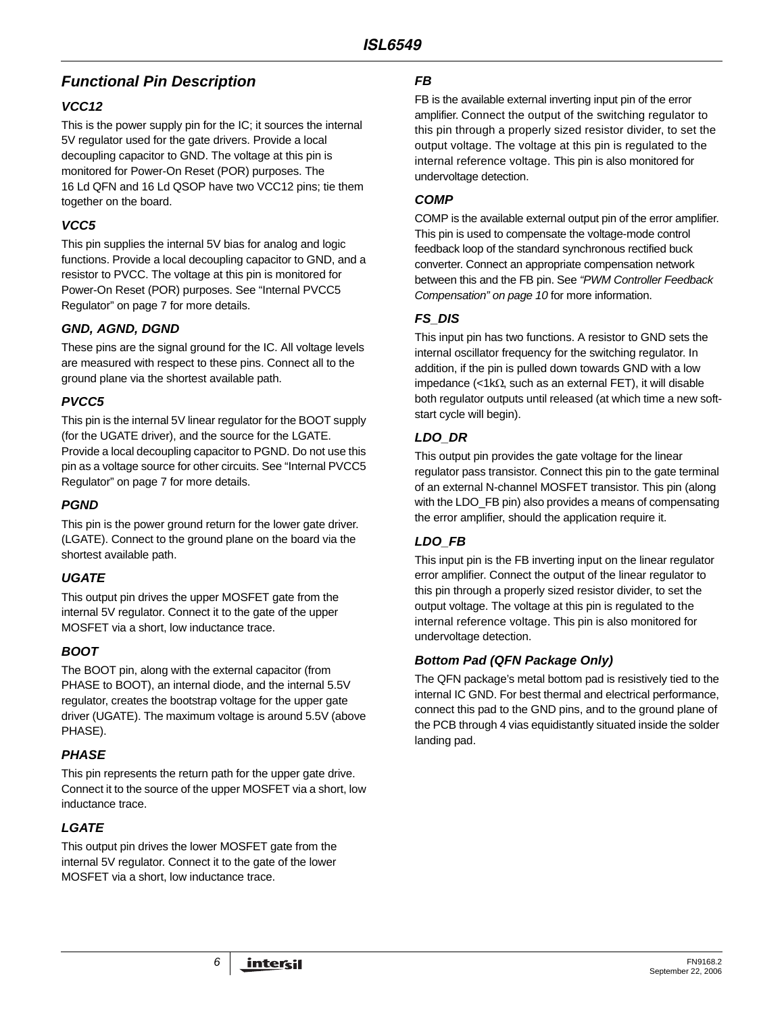## *Functional Pin Description*

## *VCC12*

This is the power supply pin for the IC; it sources the internal 5V regulator used for the gate drivers. Provide a local decoupling capacitor to GND. The voltage at this pin is monitored for Power-On Reset (POR) purposes. The 16 Ld QFN and 16 Ld QSOP have two VCC12 pins; tie them together on the board.

## *VCC5*

This pin supplies the internal 5V bias for analog and logic functions. Provide a local decoupling capacitor to GND, and a resistor to PVCC. The voltage at this pin is monitored for Power-On Reset (POR) purposes. See ["Internal PVCC5](#page-6-0)  [Regulator" on page 7](#page-6-0) for more details.

## *GND, AGND, DGND*

These pins are the signal ground for the IC. All voltage levels are measured with respect to these pins. Connect all to the ground plane via the shortest available path.

## *PVCC5*

This pin is the internal 5V linear regulator for the BOOT supply (for the UGATE driver), and the source for the LGATE. Provide a local decoupling capacitor to PGND. Do not use this pin as a voltage source for other circuits. See ["Internal PVCC5](#page-6-0)  [Regulator" on page 7](#page-6-0) for more details.

#### *PGND*

This pin is the power ground return for the lower gate driver. (LGATE). Connect to the ground plane on the board via the shortest available path.

## *UGATE*

This output pin drives the upper MOSFET gate from the internal 5V regulator. Connect it to the gate of the upper MOSFET via a short, low inductance trace.

## *BOOT*

The BOOT pin, along with the external capacitor (from PHASE to BOOT), an internal diode, and the internal 5.5V regulator, creates the bootstrap voltage for the upper gate driver (UGATE). The maximum voltage is around 5.5V (above PHASE).

## *PHASE*

This pin represents the return path for the upper gate drive. Connect it to the source of the upper MOSFET via a short, low inductance trace.

# *LGATE*

This output pin drives the lower MOSFET gate from the internal 5V regulator. Connect it to the gate of the lower MOSFET via a short, low inductance trace.

#### *FB*

FB is the available external inverting input pin of the error amplifier. Connect the output of the switching regulator to this pin through a properly sized resistor divider, to set the output voltage. The voltage at this pin is regulated to the internal reference voltage. This pin is also monitored for undervoltage detection.

#### *COMP*

COMP is the available external output pin of the error amplifier. This pin is used to compensate the voltage-mode control feedback loop of the standard synchronous rectified buck converter. Connect an appropriate compensation network between this and the FB pin. See *["PWM Controller Feedback](#page-9-0)  [Compensation" on page 10](#page-9-0)* for more information.

## *FS\_DIS*

This input pin has two functions. A resistor to GND sets the internal oscillator frequency for the switching regulator. In addition, if the pin is pulled down towards GND with a low impedance (<1kΩ, such as an external FET), it will disable both regulator outputs until released (at which time a new softstart cycle will begin).

## *LDO\_DR*

This output pin provides the gate voltage for the linear regulator pass transistor. Connect this pin to the gate terminal of an external N-channel MOSFET transistor. This pin (along with the LDO\_FB pin) also provides a means of compensating the error amplifier, should the application require it.

## *LDO\_FB*

This input pin is the FB inverting input on the linear regulator error amplifier. Connect the output of the linear regulator to this pin through a properly sized resistor divider, to set the output voltage. The voltage at this pin is regulated to the internal reference voltage. This pin is also monitored for undervoltage detection.

#### *Bottom Pad (QFN Package Only)*

The QFN package's metal bottom pad is resistively tied to the internal IC GND. For best thermal and electrical performance, connect this pad to the GND pins, and to the ground plane of the PCB through 4 vias equidistantly situated inside the solder landing pad.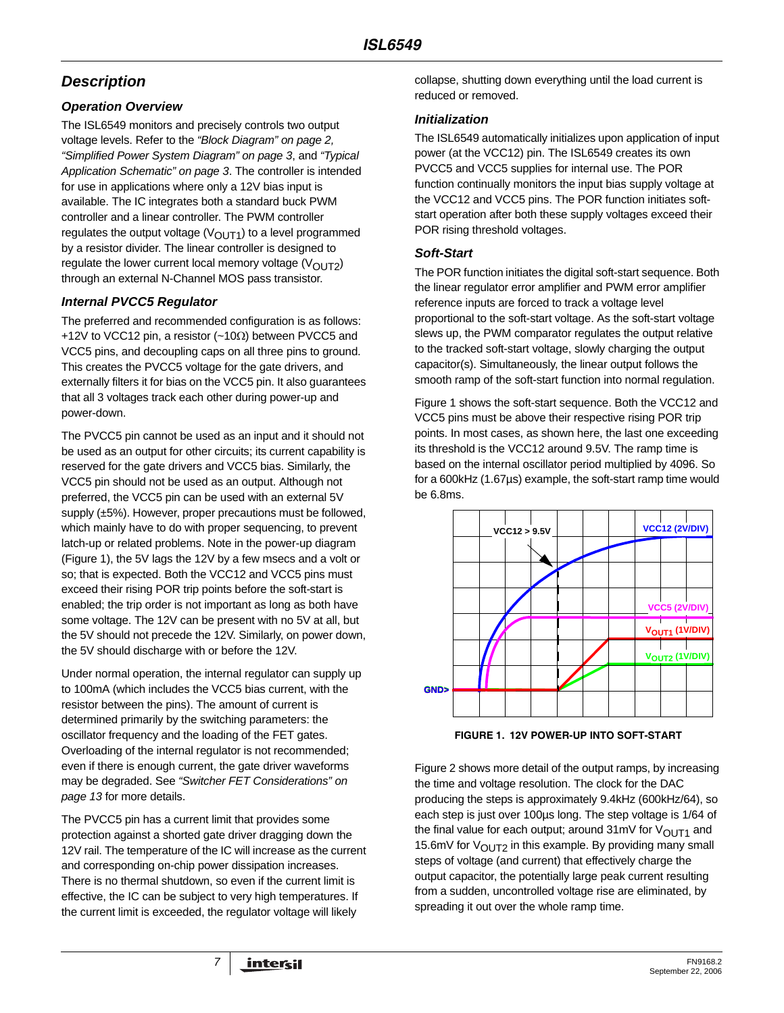# *Description*

## *Operation Overview*

The ISL6549 monitors and precisely controls two output voltage levels. Refer to the *["Block Diagram" on page 2,](#page-1-0) ["Simplified Power System Diagram" on page 3](#page-2-0)*, and *["Typical](#page-2-1)  [Application Schematic" on page 3](#page-2-1)*. The controller is intended for use in applications where only a 12V bias input is available. The IC integrates both a standard buck PWM controller and a linear controller. The PWM controller regulates the output voltage  $(V<sub>OUT1</sub>)$  to a level programmed by a resistor divider. The linear controller is designed to regulate the lower current local memory voltage  $(V_{\text{OUT2}})$ through an external N-Channel MOS pass transistor.

#### <span id="page-6-0"></span>*Internal PVCC5 Regulator*

The preferred and recommended configuration is as follows: +12V to VCC12 pin, a resistor (~10Ω) between PVCC5 and VCC5 pins, and decoupling caps on all three pins to ground. This creates the PVCC5 voltage for the gate drivers, and externally filters it for bias on the VCC5 pin. It also guarantees that all 3 voltages track each other during power-up and power-down.

The PVCC5 pin cannot be used as an input and it should not be used as an output for other circuits; its current capability is reserved for the gate drivers and VCC5 bias. Similarly, the VCC5 pin should not be used as an output. Although not preferred, the VCC5 pin can be used with an external 5V supply (±5%). However, proper precautions must be followed, which mainly have to do with proper sequencing, to prevent latch-up or related problems. Note in the power-up diagram (Figure [1](#page-6-1)), the 5V lags the 12V by a few msecs and a volt or so; that is expected. Both the VCC12 and VCC5 pins must exceed their rising POR trip points before the soft-start is enabled; the trip order is not important as long as both have some voltage. The 12V can be present with no 5V at all, but the 5V should not precede the 12V. Similarly, on power down, the 5V should discharge with or before the 12V.

Under normal operation, the internal regulator can supply up to 100mA (which includes the VCC5 bias current, with the resistor between the pins). The amount of current is determined primarily by the switching parameters: the oscillator frequency and the loading of the FET gates. Overloading of the internal regulator is not recommended; even if there is enough current, the gate driver waveforms may be degraded. See *["Switcher FET Considerations" on](#page-12-0)  [page 13](#page-12-0)* for more details.

The PVCC5 pin has a current limit that provides some protection against a shorted gate driver dragging down the 12V rail. The temperature of the IC will increase as the current and corresponding on-chip power dissipation increases. There is no thermal shutdown, so even if the current limit is effective, the IC can be subject to very high temperatures. If the current limit is exceeded, the regulator voltage will likely

collapse, shutting down everything until the load current is reduced or removed.

#### *Initialization*

The ISL6549 automatically initializes upon application of input power (at the VCC12) pin. The ISL6549 creates its own PVCC5 and VCC5 supplies for internal use. The POR function continually monitors the input bias supply voltage at the VCC12 and VCC5 pins. The POR function initiates softstart operation after both these supply voltages exceed their POR rising threshold voltages.

#### *Soft-Start*

The POR function initiates the digital soft-start sequence. Both the linear regulator error amplifier and PWM error amplifier reference inputs are forced to track a voltage level proportional to the soft-start voltage. As the soft-start voltage slews up, the PWM comparator regulates the output relative to the tracked soft-start voltage, slowly charging the output capacitor(s). Simultaneously, the linear output follows the smooth ramp of the soft-start function into normal regulation.

Figure [1](#page-6-1) shows the soft-start sequence. Both the VCC12 and VCC5 pins must be above their respective rising POR trip points. In most cases, as shown here, the last one exceeding its threshold is the VCC12 around 9.5V. The ramp time is based on the internal oscillator period multiplied by 4096. So for a 600kHz (1.67µs) example, the soft-start ramp time would be 6.8ms.



**FIGURE 1. 12V POWER-UP INTO SOFT-START**

<span id="page-6-1"></span>Figure [2](#page-7-0) shows more detail of the output ramps, by increasing the time and voltage resolution. The clock for the DAC producing the steps is approximately 9.4kHz (600kHz/64), so each step is just over 100µs long. The step voltage is 1/64 of the final value for each output; around 31mV for  $V_{\text{OUT1}}$  and 15.6mV for  $V_{\text{OUT2}}$  in this example. By providing many small steps of voltage (and current) that effectively charge the output capacitor, the potentially large peak current resulting from a sudden, uncontrolled voltage rise are eliminated, by spreading it out over the whole ramp time.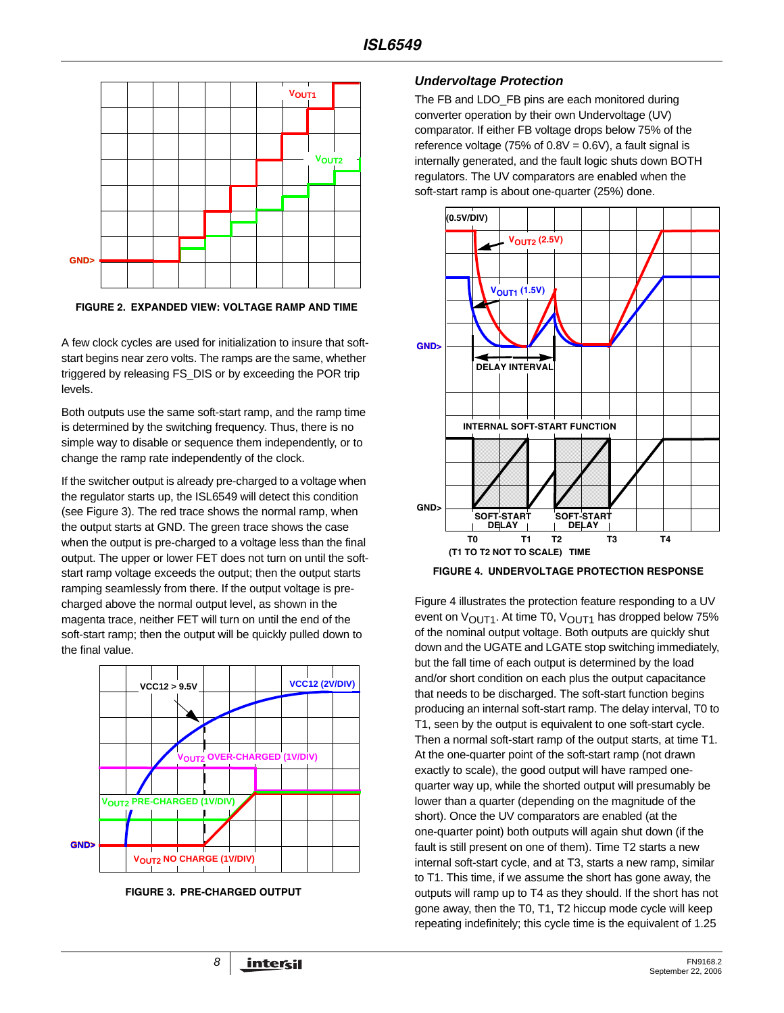

<span id="page-7-0"></span>**FIGURE 2. EXPANDED VIEW: VOLTAGE RAMP AND TIME**

A few clock cycles are used for initialization to insure that softstart begins near zero volts. The ramps are the same, whether triggered by releasing FS\_DIS or by exceeding the POR trip levels.

Both outputs use the same soft-start ramp, and the ramp time is determined by the switching frequency. Thus, there is no simple way to disable or sequence them independently, or to change the ramp rate independently of the clock.

If the switcher output is already pre-charged to a voltage when the regulator starts up, the ISL6549 will detect this condition (see Figure [3\)](#page-7-1). The red trace shows the normal ramp, when the output starts at GND. The green trace shows the case when the output is pre-charged to a voltage less than the final output. The upper or lower FET does not turn on until the softstart ramp voltage exceeds the output; then the output starts ramping seamlessly from there. If the output voltage is precharged above the normal output level, as shown in the magenta trace, neither FET will turn on until the end of the soft-start ramp; then the output will be quickly pulled down to the final value.



<span id="page-7-1"></span>**FIGURE 3. PRE-CHARGED OUTPUT**

#### *Undervoltage Protection*

The FB and LDO\_FB pins are each monitored during converter operation by their own Undervoltage (UV) comparator. If either FB voltage drops below 75% of the reference voltage (75% of  $0.8V = 0.6V$ ), a fault signal is internally generated, and the fault logic shuts down BOTH regulators. The UV comparators are enabled when the soft-start ramp is about one-quarter (25%) done.



**FIGURE 4. UNDERVOLTAGE PROTECTION RESPONSE**

Figure 4 illustrates the protection feature responding to a UV event on  $V_{\text{OUT1}}$ . At time T0,  $V_{\text{OUT1}}$  has dropped below 75% of the nominal output voltage. Both outputs are quickly shut down and the UGATE and LGATE stop switching immediately, but the fall time of each output is determined by the load and/or short condition on each plus the output capacitance that needs to be discharged. The soft-start function begins producing an internal soft-start ramp. The delay interval, T0 to T1, seen by the output is equivalent to one soft-start cycle. Then a normal soft-start ramp of the output starts, at time T1. At the one-quarter point of the soft-start ramp (not drawn exactly to scale), the good output will have ramped onequarter way up, while the shorted output will presumably be lower than a quarter (depending on the magnitude of the short). Once the UV comparators are enabled (at the one-quarter point) both outputs will again shut down (if the fault is still present on one of them). Time T2 starts a new internal soft-start cycle, and at T3, starts a new ramp, similar to T1. This time, if we assume the short has gone away, the outputs will ramp up to T4 as they should. If the short has not gone away, then the T0, T1, T2 hiccup mode cycle will keep repeating indefinitely; this cycle time is the equivalent of 1.25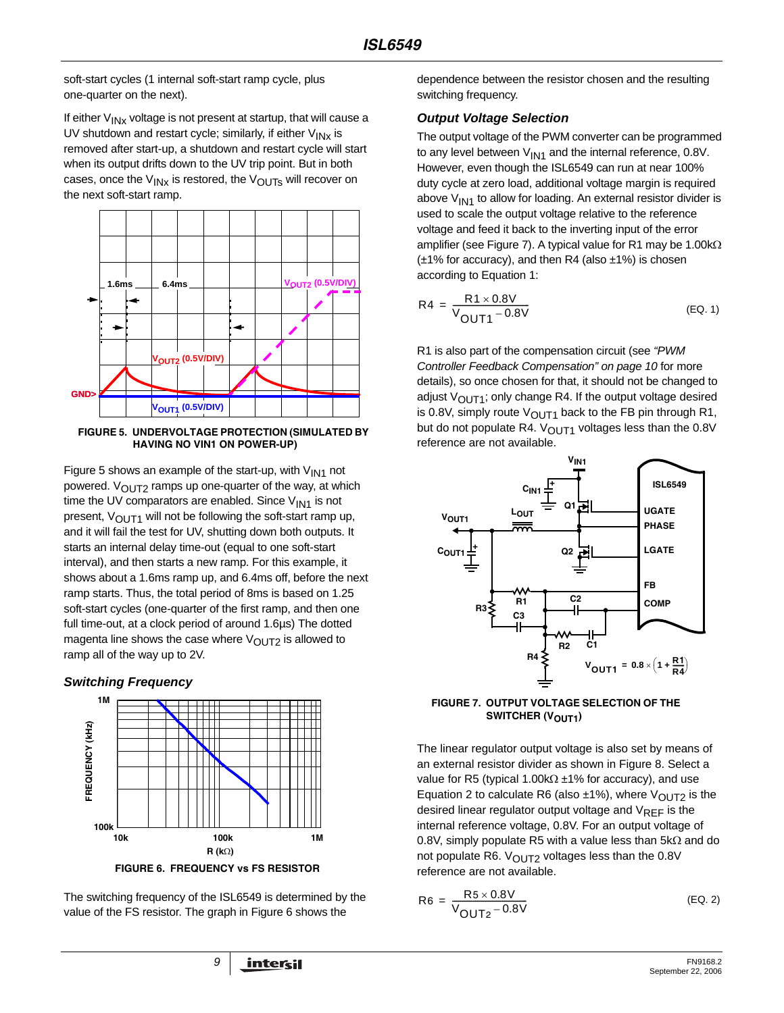soft-start cycles (1 internal soft-start ramp cycle, plus one-quarter on the next).

If either  $V_{INX}$  voltage is not present at startup, that will cause a UV shutdown and restart cycle; similarly, if either  $V_{INX}$  is removed after start-up, a shutdown and restart cycle will start when its output drifts down to the UV trip point. But in both cases, once the  $V_{INX}$  is restored, the  $V_{OUTS}$  will recover on the next soft-start ramp.



**FIGURE 5. UNDERVOLTAGE PROTECTION (SIMULATED BY HAVING NO VIN1 ON POWER-UP)**

Figure 5 shows an example of the start-up, with  $V_{1N1}$  not powered.  $V_{\text{OUT2}}$  ramps up one-quarter of the way, at which time the UV comparators are enabled. Since  $V_{1N1}$  is not present,  $V_{\text{OUT1}}$  will not be following the soft-start ramp up, and it will fail the test for UV, shutting down both outputs. It starts an internal delay time-out (equal to one soft-start interval), and then starts a new ramp. For this example, it shows about a 1.6ms ramp up, and 6.4ms off, before the next ramp starts. Thus, the total period of 8ms is based on 1.25 soft-start cycles (one-quarter of the first ramp, and then one full time-out, at a clock period of around 1.6µs) The dotted magenta line shows the case where  $V_{\text{OUT2}}$  is allowed to ramp all of the way up to 2V.

#### *Switching Frequency*



**FIGURE 6. FREQUENCY vs FS RESISTOR**

The switching frequency of the ISL6549 is determined by the value of the FS resistor. The graph in Figure 6 shows the

dependence between the resistor chosen and the resulting switching frequency.

#### *Output Voltage Selection*

The output voltage of the PWM converter can be programmed to any level between  $V_{1N1}$  and the internal reference, 0.8V. However, even though the ISL6549 can run at near 100% duty cycle at zero load, additional voltage margin is required above  $V_{1N1}$  to allow for loading. An external resistor divider is used to scale the output voltage relative to the reference voltage and feed it back to the inverting input of the error amplifier (see Figure [7\)](#page-8-0). A typical value for R1 may be 1.00kΩ  $(\pm 1\%$  for accuracy), and then R4 (also  $\pm 1\%$ ) is chosen according to Equation [1](#page-8-1):

<span id="page-8-1"></span>
$$
R4 = \frac{R1 \times 0.8V}{V_{\text{OUT1}} - 0.8V}
$$
 (EQ. 1)

R1 is also part of the compensation circuit (see *["PWM](#page-9-0)  [Controller Feedback Compensation" on page 10](#page-9-0)* for more details), so once chosen for that, it should not be changed to adjust  $V_{\text{OUT1}}$ ; only change R4. If the output voltage desired is 0.8V, simply route  $V_{\text{OUT1}}$  back to the FB pin through R1, but do not populate R4.  $V_{\text{OUT1}}$  voltages less than the 0.8V reference are not available.



<span id="page-8-0"></span>**FIGURE 7. OUTPUT VOLTAGE SELECTION OF THE SWITCHER (V<sub>OUT1</sub>)** 

The linear regulator output voltage is also set by means of an external resistor divider as shown in Figure [8.](#page-9-1) Select a value for R5 (typical 1.00k $\Omega$  ±1% for accuracy), and use Equation [2](#page-8-2) to calculate R6 (also  $\pm$ 1%), where V<sub>OUT2</sub> is the desired linear regulator output voltage and  $V_{REF}$  is the internal reference voltage, 0.8V. For an output voltage of 0.8V, simply populate R5 with a value less than 5kΩ and do not populate R6.  $V_{\text{OUT2}}$  voltages less than the 0.8V reference are not available.

<span id="page-8-2"></span>
$$
R6 = \frac{R5 \times 0.8 \text{V}}{V_{\text{OUT2}} - 0.8 \text{V}}
$$
 (EQ. 2)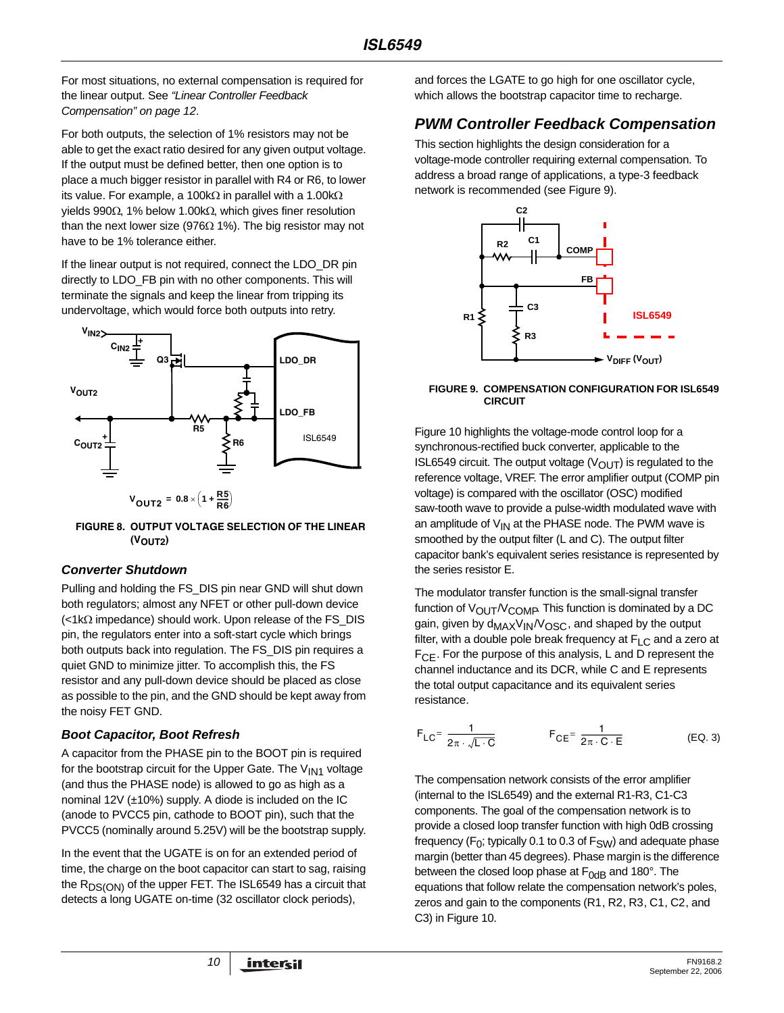For most situations, no external compensation is required for the linear output. See *["Linear Controller Feedback](#page-11-0)  [Compensation" on page 12](#page-11-0)*.

For both outputs, the selection of 1% resistors may not be able to get the exact ratio desired for any given output voltage. If the output must be defined better, then one option is to place a much bigger resistor in parallel with R4 or R6, to lower its value. For example, a 100kΩ in parallel with a 1.00kΩ yields 990Ω, 1% below 1.00kΩ, which gives finer resolution than the next lower size (976 $\Omega$  1%). The big resistor may not have to be 1% tolerance either.

If the linear output is not required, connect the LDO\_DR pin directly to LDO\_FB pin with no other components. This will terminate the signals and keep the linear from tripping its undervoltage, which would force both outputs into retry.



<span id="page-9-1"></span>**FIGURE 8. OUTPUT VOLTAGE SELECTION OF THE LINEAR (VOUT2)**

#### *Converter Shutdown*

Pulling and holding the FS\_DIS pin near GND will shut down both regulators; almost any NFET or other pull-down device (<1kΩ impedance) should work. Upon release of the FS\_DIS pin, the regulators enter into a soft-start cycle which brings both outputs back into regulation. The FS\_DIS pin requires a quiet GND to minimize jitter. To accomplish this, the FS resistor and any pull-down device should be placed as close as possible to the pin, and the GND should be kept away from the noisy FET GND.

## *Boot Capacitor, Boot Refresh*

A capacitor from the PHASE pin to the BOOT pin is required for the bootstrap circuit for the Upper Gate. The  $V_{1N1}$  voltage (and thus the PHASE node) is allowed to go as high as a nominal 12V  $(\pm 10\%)$  supply. A diode is included on the IC (anode to PVCC5 pin, cathode to BOOT pin), such that the PVCC5 (nominally around 5.25V) will be the bootstrap supply.

In the event that the UGATE is on for an extended period of time, the charge on the boot capacitor can start to sag, raising the  $R_{DS(ON)}$  of the upper FET. The ISL6549 has a circuit that detects a long UGATE on-time (32 oscillator clock periods),

and forces the LGATE to go high for one oscillator cycle, which allows the bootstrap capacitor time to recharge.

# <span id="page-9-0"></span>*PWM Controller Feedback Compensation*

This section highlights the design consideration for a voltage-mode controller requiring external compensation. To address a broad range of applications, a type-3 feedback network is recommended (see Figure 9).



**FIGURE 9. COMPENSATION CONFIGURATION FOR ISL6549 CIRCUIT**

Figure 10 highlights the voltage-mode control loop for a synchronous-rectified buck converter, applicable to the ISL6549 circuit. The output voltage  $(V_{\text{OUT}})$  is regulated to the reference voltage, VREF. The error amplifier output (COMP pin voltage) is compared with the oscillator (OSC) modified saw-tooth wave to provide a pulse-width modulated wave with an amplitude of  $V_{IN}$  at the PHASE node. The PWM wave is smoothed by the output filter (L and C). The output filter capacitor bank's equivalent series resistance is represented by the series resistor E.

The modulator transfer function is the small-signal transfer function of  $V_{\text{OUT}}/V_{\text{COMP}}$  This function is dominated by a DC gain, given by  $d_{MAX}V_{IN}/V_{OSC}$ , and shaped by the output filter, with a double pole break frequency at  $F_{LC}$  and a zero at  $F_{\text{CF}}$ . For the purpose of this analysis, L and D represent the channel inductance and its DCR, while C and E represents the total output capacitance and its equivalent series resistance.

$$
F_{LC} = \frac{1}{2\pi \cdot \sqrt{L \cdot C}} \qquad F_{CE} = \frac{1}{2\pi \cdot C \cdot E} \qquad (EQ. 3)
$$

The compensation network consists of the error amplifier (internal to the ISL6549) and the external R1-R3, C1-C3 components. The goal of the compensation network is to provide a closed loop transfer function with high 0dB crossing frequency ( $F_0$ ; typically 0.1 to 0.3 of  $F_{\text{SW}}$ ) and adequate phase margin (better than 45 degrees). Phase margin is the difference between the closed loop phase at  $F_{0dB}$  and 180°. The equations that follow relate the compensation network's poles, zeros and gain to the components (R1, R2, R3, C1, C2, and C3) in Figure 10.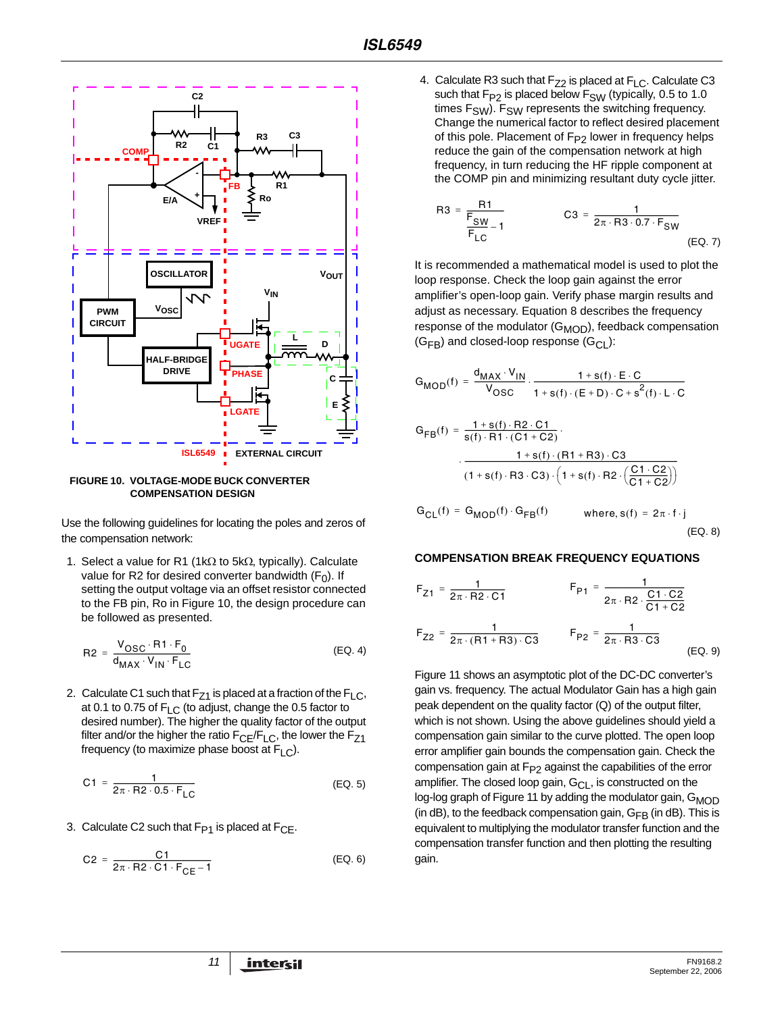

**FIGURE 10. VOLTAGE-MODE BUCK CONVERTER COMPENSATION DESIGN**

Use the following guidelines for locating the poles and zeros of the compensation network:

1. Select a value for R1 (1kΩ to 5kΩ, typically). Calculate value for R2 for desired converter bandwidth  $(F_0)$ . If setting the output voltage via an offset resistor connected to the FB pin, Ro in Figure 10, the design procedure can be followed as presented.

$$
R2 = \frac{V_{OSC} \cdot R1 \cdot F_0}{d_{MAX} \cdot V_{IN} \cdot F_{LC}}
$$
 (EQ. 4)

2. Calculate C1 such that  $F_{Z1}$  is placed at a fraction of the  $F_{LC}$ , at 0.1 to 0.75 of  $F_{LC}$  (to adjust, change the 0.5 factor to desired number). The higher the quality factor of the output filter and/or the higher the ratio  $F_{CE}/F_{LC}$ , the lower the  $F_{Z1}$ frequency (to maximize phase boost at  $F<sub>L</sub>$ ).

$$
C1 = \frac{1}{2\pi \cdot R2 \cdot 0.5 \cdot F_{LC}}
$$
 (EQ. 5)

3. Calculate C2 such that  $F_{P1}$  is placed at  $F_{CF}$ .

$$
C2 = \frac{C1}{2\pi \cdot R2 \cdot C1 \cdot F_{CE} - 1}
$$
 (EQ. 6)

4. Calculate R3 such that  $F_{Z2}$  is placed at  $F_{LC}$ . Calculate C3 such that  $F_{P2}$  is placed below  $F_{SW}$  (typically, 0.5 to 1.0 times  $F_{SW}$ ).  $F_{SW}$  represents the switching frequency. Change the numerical factor to reflect desired placement of this pole. Placement of  $F_{P2}$  lower in frequency helps reduce the gain of the compensation network at high frequency, in turn reducing the HF ripple component at the COMP pin and minimizing resultant duty cycle jitter.

R3 = 
$$
\frac{R1}{F_{SW}} - 1
$$
  
C3 =  $\frac{1}{2\pi \cdot R3 \cdot 0.7 \cdot F_{SW}}$   
(EQ. 7)

It is recommended a mathematical model is used to plot the loop response. Check the loop gain against the error amplifier's open-loop gain. Verify phase margin results and adjust as necessary. Equation [8](#page-10-0) describes the frequency response of the modulator  $(G_{MOD})$ , feedback compensation  $(G<sub>FB</sub>)$  and closed-loop response  $(G<sub>CL</sub>)$ :

$$
G_{MOD}(f) = \frac{d_{MAX} \cdot V_{IN}}{V_{OSC}} \cdot \frac{1 + s(f) \cdot E \cdot C}{1 + s(f) \cdot (E + D) \cdot C + s^{2}(f) \cdot L \cdot C}
$$
  

$$
G_{FB}(f) = \frac{1 + s(f) \cdot R2 \cdot C1}{s(f) \cdot R1 \cdot (C1 + C2)}
$$
  

$$
\cdot \frac{1 + s(f) \cdot (R1 + R3) \cdot C3}{(1 + s(f) \cdot R3 \cdot C3) \cdot (1 + s(f) \cdot R2 \cdot (\frac{C1 \cdot C2}{C1 + C2}))}
$$

<span id="page-10-0"></span>
$$
G_{CL}(f) = G_{MOD}(f) \cdot G_{FB}(f) \qquad \text{where, } s(f) = 2\pi \cdot f \cdot j
$$
\n(EQ. 8)

#### **COMPENSATION BREAK FREQUENCY EQUATIONS**

$$
F_{Z1} = \frac{1}{2\pi \cdot R2 \cdot C1}
$$
  
\n
$$
F_{P1} = \frac{1}{2\pi \cdot R2 \cdot \frac{C1 \cdot C2}{C1 + C2}}
$$
  
\n
$$
F_{Z2} = \frac{1}{2\pi \cdot (R1 + R3) \cdot C3}
$$
  
\n
$$
F_{P2} = \frac{1}{2\pi \cdot R3 \cdot C3}
$$
  
\n
$$
(EQ. 9)
$$

Figure [11](#page-11-1) shows an asymptotic plot of the DC-DC converter's gain vs. frequency. The actual Modulator Gain has a high gain peak dependent on the quality factor (Q) of the output filter, which is not shown. Using the above guidelines should yield a compensation gain similar to the curve plotted. The open loop error amplifier gain bounds the compensation gain. Check the compensation gain at  $F_{P2}$  against the capabilities of the error amplifier. The closed loop gain,  $G_{CL}$ , is constructed on the log-log graph of Figure [11](#page-11-1) by adding the modulator gain, G<sub>MOD</sub> (in dB), to the feedback compensation gain,  $G_{FB}$  (in dB). This is equivalent to multiplying the modulator transfer function and the compensation transfer function and then plotting the resulting gain.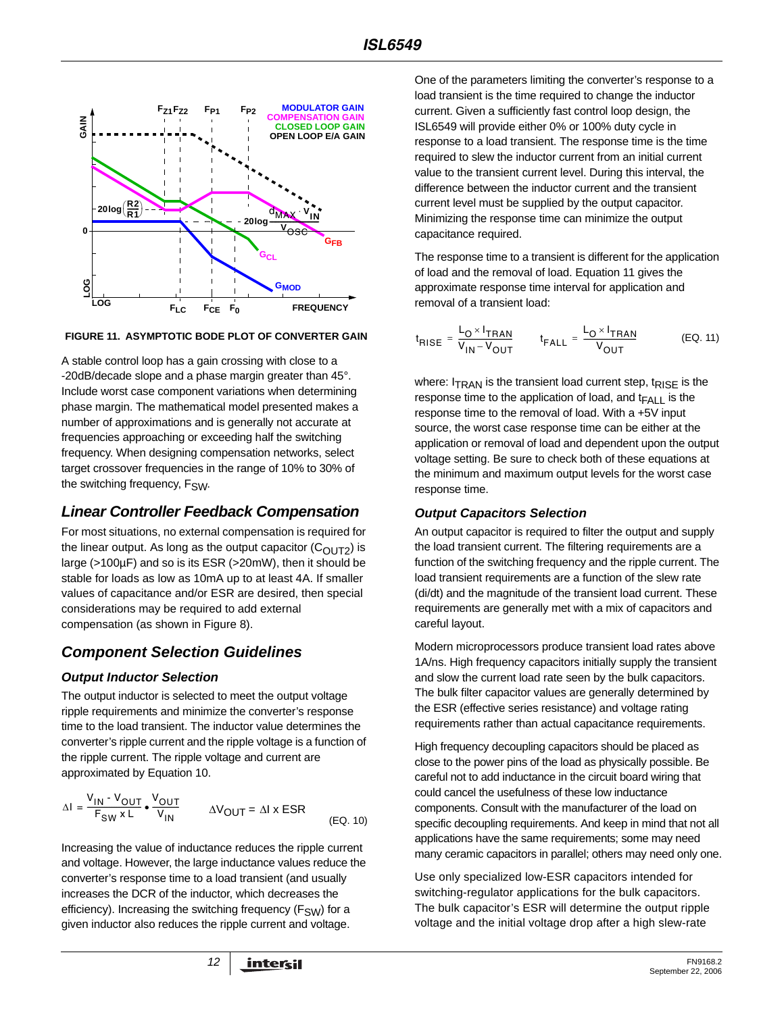

<span id="page-11-1"></span>**FIGURE 11. ASYMPTOTIC BODE PLOT OF CONVERTER GAIN**

A stable control loop has a gain crossing with close to a -20dB/decade slope and a phase margin greater than 45°. Include worst case component variations when determining phase margin. The mathematical model presented makes a number of approximations and is generally not accurate at frequencies approaching or exceeding half the switching frequency. When designing compensation networks, select target crossover frequencies in the range of 10% to 30% of the switching frequency,  $F_{\text{SW}}$ .

# <span id="page-11-0"></span>*Linear Controller Feedback Compensation*

For most situations, no external compensation is required for the linear output. As long as the output capacitor  $(C_{\text{OUT2}})$  is large (>100µF) and so is its ESR (>20mW), then it should be stable for loads as low as 10mA up to at least 4A. If smaller values of capacitance and/or ESR are desired, then special considerations may be required to add external compensation (as shown in Figure [8](#page-9-1)).

# *Component Selection Guidelines*

## *Output Inductor Selection*

The output inductor is selected to meet the output voltage ripple requirements and minimize the converter's response time to the load transient. The inductor value determines the converter's ripple current and the ripple voltage is a function of the ripple current. The ripple voltage and current are approximated by Equation [10](#page-11-2).

$$
\Delta I = \frac{V_{IN} - V_{OUT}}{F_{SW} \times L} \cdot \frac{V_{OUT}}{V_{IN}} \qquad \Delta V_{OUT} = \Delta I \times ESR
$$
 (EQ. 10)

Increasing the value of inductance reduces the ripple current and voltage. However, the large inductance values reduce the converter's response time to a load transient (and usually increases the DCR of the inductor, which decreases the efficiency). Increasing the switching frequency ( $F_{SW}$ ) for a given inductor also reduces the ripple current and voltage.

One of the parameters limiting the converter's response to a load transient is the time required to change the inductor current. Given a sufficiently fast control loop design, the ISL6549 will provide either 0% or 100% duty cycle in response to a load transient. The response time is the time required to slew the inductor current from an initial current value to the transient current level. During this interval, the difference between the inductor current and the transient current level must be supplied by the output capacitor. Minimizing the response time can minimize the output capacitance required.

The response time to a transient is different for the application of load and the removal of load. Equation [11](#page-11-3) gives the approximate response time interval for application and removal of a transient load:

<span id="page-11-3"></span>
$$
t_{\text{RISE}} = \frac{L_{\text{O}} \times I_{\text{TRAN}}}{V_{\text{IN}} - V_{\text{OUT}}} \qquad t_{\text{FALL}} = \frac{L_{\text{O}} \times I_{\text{TRAN}}}{V_{\text{OUT}}} \tag{Eq. 11}
$$

where:  $I_{TRAN}$  is the transient load current step,  $t_{RISE}$  is the response time to the application of load, and  $t_{FAI}$  is the response time to the removal of load. With a +5V input source, the worst case response time can be either at the application or removal of load and dependent upon the output voltage setting. Be sure to check both of these equations at the minimum and maximum output levels for the worst case response time.

## *Output Capacitors Selection*

An output capacitor is required to filter the output and supply the load transient current. The filtering requirements are a function of the switching frequency and the ripple current. The load transient requirements are a function of the slew rate (di/dt) and the magnitude of the transient load current. These requirements are generally met with a mix of capacitors and careful layout.

Modern microprocessors produce transient load rates above 1A/ns. High frequency capacitors initially supply the transient and slow the current load rate seen by the bulk capacitors. The bulk filter capacitor values are generally determined by the ESR (effective series resistance) and voltage rating requirements rather than actual capacitance requirements.

High frequency decoupling capacitors should be placed as close to the power pins of the load as physically possible. Be careful not to add inductance in the circuit board wiring that could cancel the usefulness of these low inductance components. Consult with the manufacturer of the load on specific decoupling requirements. And keep in mind that not all applications have the same requirements; some may need many ceramic capacitors in parallel; others may need only one.

<span id="page-11-2"></span>Use only specialized low-ESR capacitors intended for switching-regulator applications for the bulk capacitors. The bulk capacitor's ESR will determine the output ripple voltage and the initial voltage drop after a high slew-rate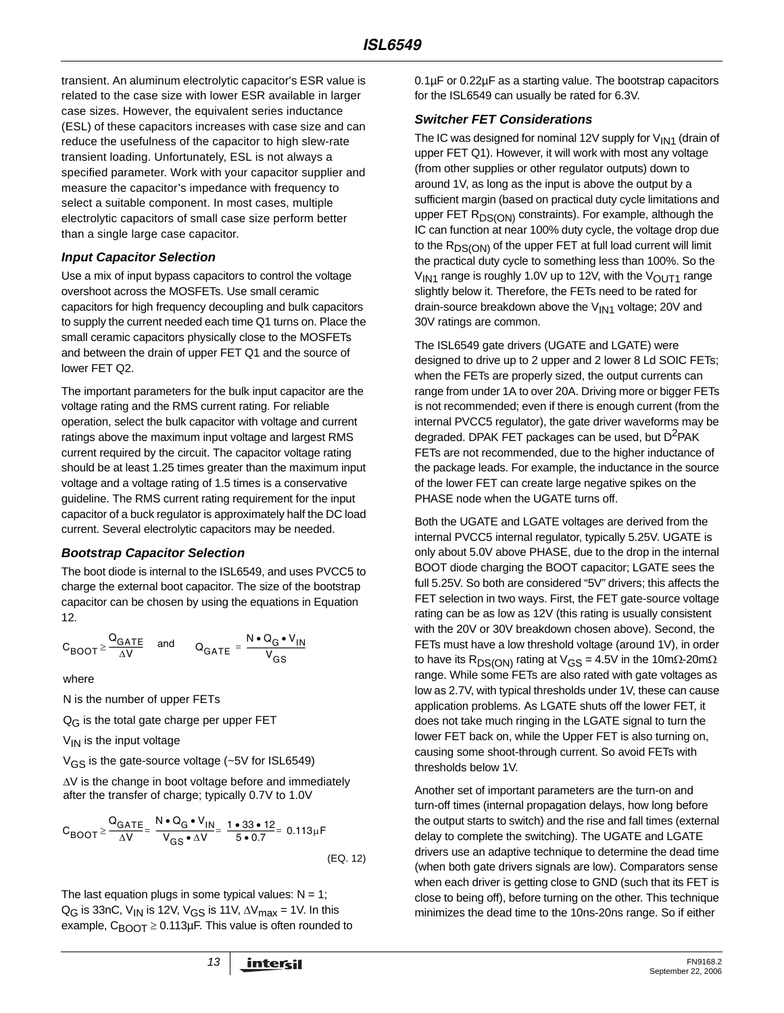transient. An aluminum electrolytic capacitor's ESR value is related to the case size with lower ESR available in larger case sizes. However, the equivalent series inductance (ESL) of these capacitors increases with case size and can reduce the usefulness of the capacitor to high slew-rate transient loading. Unfortunately, ESL is not always a specified parameter. Work with your capacitor supplier and measure the capacitor's impedance with frequency to select a suitable component. In most cases, multiple electrolytic capacitors of small case size perform better than a single large case capacitor.

#### *Input Capacitor Selection*

Use a mix of input bypass capacitors to control the voltage overshoot across the MOSFETs. Use small ceramic capacitors for high frequency decoupling and bulk capacitors to supply the current needed each time Q1 turns on. Place the small ceramic capacitors physically close to the MOSFETs and between the drain of upper FET Q1 and the source of lower FET Q2.

The important parameters for the bulk input capacitor are the voltage rating and the RMS current rating. For reliable operation, select the bulk capacitor with voltage and current ratings above the maximum input voltage and largest RMS current required by the circuit. The capacitor voltage rating should be at least 1.25 times greater than the maximum input voltage and a voltage rating of 1.5 times is a conservative guideline. The RMS current rating requirement for the input capacitor of a buck regulator is approximately half the DC load current. Several electrolytic capacitors may be needed.

#### *Bootstrap Capacitor Selection*

The boot diode is internal to the ISL6549, and uses PVCC5 to charge the external boot capacitor. The size of the bootstrap capacitor can be chosen by using the equations in Equation [12.](#page-12-1)

$$
C_{\text{BOOT}} \geq \frac{Q_{\text{GATE}}}{\Delta V}
$$
 and  $Q_{\text{GATE}} = \frac{N \cdot Q_{\text{G}} \cdot V_{\text{IN}}}{V_{\text{GS}}}$ 

where

N is the number of upper FETs

 $Q_G$  is the total gate charge per upper FET

 $V_{IN}$  is the input voltage

V<sub>GS</sub> is the gate-source voltage (~5V for ISL6549)

∆V is the change in boot voltage before and immediately after the transfer of charge; typically 0.7V to 1.0V

$$
C_{\text{BOOT}} \ge \frac{Q_{\text{GATE}}}{\Delta V} = \frac{N \cdot Q_{\text{G}} \cdot V_{\text{IN}}}{V_{\text{GS}} \cdot \Delta V} = \frac{1 \cdot 33 \cdot 12}{5 \cdot 0.7} = 0.113 \mu \text{F}
$$
\n(EQ. 12)

The last equation plugs in some typical values:  $N = 1$ ; Q<sub>G</sub> is 33nC, V<sub>IN</sub> is 12V, V<sub>GS</sub> is 11V,  $\Delta V_{\text{max}}$  = 1V. In this example,  $C_{\text{BOOT}} \geq 0.113 \mu F$ . This value is often rounded to 0.1µF or 0.22µF as a starting value. The bootstrap capacitors for the ISL6549 can usually be rated for 6.3V.

#### <span id="page-12-0"></span>*Switcher FET Considerations*

The IC was designed for nominal 12V supply for  $V_{1N1}$  (drain of upper FET Q1). However, it will work with most any voltage (from other supplies or other regulator outputs) down to around 1V, as long as the input is above the output by a sufficient margin (based on practical duty cycle limitations and upper FET  $R_{DS(ON)}$  constraints). For example, although the IC can function at near 100% duty cycle, the voltage drop due to the  $R_{DS(ON)}$  of the upper FET at full load current will limit the practical duty cycle to something less than 100%. So the  $V_{1N1}$  range is roughly 1.0V up to 12V, with the  $V_{\text{OUT1}}$  range slightly below it. Therefore, the FETs need to be rated for drain-source breakdown above the  $V_{IN1}$  voltage; 20V and 30V ratings are common.

The ISL6549 gate drivers (UGATE and LGATE) were designed to drive up to 2 upper and 2 lower 8 Ld SOIC FETs; when the FETs are properly sized, the output currents can range from under 1A to over 20A. Driving more or bigger FETs is not recommended; even if there is enough current (from the internal PVCC5 regulator), the gate driver waveforms may be degraded. DPAK FET packages can be used, but D<sup>2</sup>PAK FETs are not recommended, due to the higher inductance of the package leads. For example, the inductance in the source of the lower FET can create large negative spikes on the PHASE node when the UGATE turns off.

Both the UGATE and LGATE voltages are derived from the internal PVCC5 internal regulator, typically 5.25V. UGATE is only about 5.0V above PHASE, due to the drop in the internal BOOT diode charging the BOOT capacitor; LGATE sees the full 5.25V. So both are considered "5V" drivers; this affects the FET selection in two ways. First, the FET gate-source voltage rating can be as low as 12V (this rating is usually consistent with the 20V or 30V breakdown chosen above). Second, the FETs must have a low threshold voltage (around 1V), in order to have its R<sub>DS(ON)</sub> rating at V<sub>GS</sub> = 4.5V in the 10mΩ-20mΩ range. While some FETs are also rated with gate voltages as low as 2.7V, with typical thresholds under 1V, these can cause application problems. As LGATE shuts off the lower FET, it does not take much ringing in the LGATE signal to turn the lower FET back on, while the Upper FET is also turning on, causing some shoot-through current. So avoid FETs with thresholds below 1V.

<span id="page-12-1"></span>Another set of important parameters are the turn-on and turn-off times (internal propagation delays, how long before the output starts to switch) and the rise and fall times (external delay to complete the switching). The UGATE and LGATE drivers use an adaptive technique to determine the dead time (when both gate drivers signals are low). Comparators sense when each driver is getting close to GND (such that its FET is close to being off), before turning on the other. This technique minimizes the dead time to the 10ns-20ns range. So if either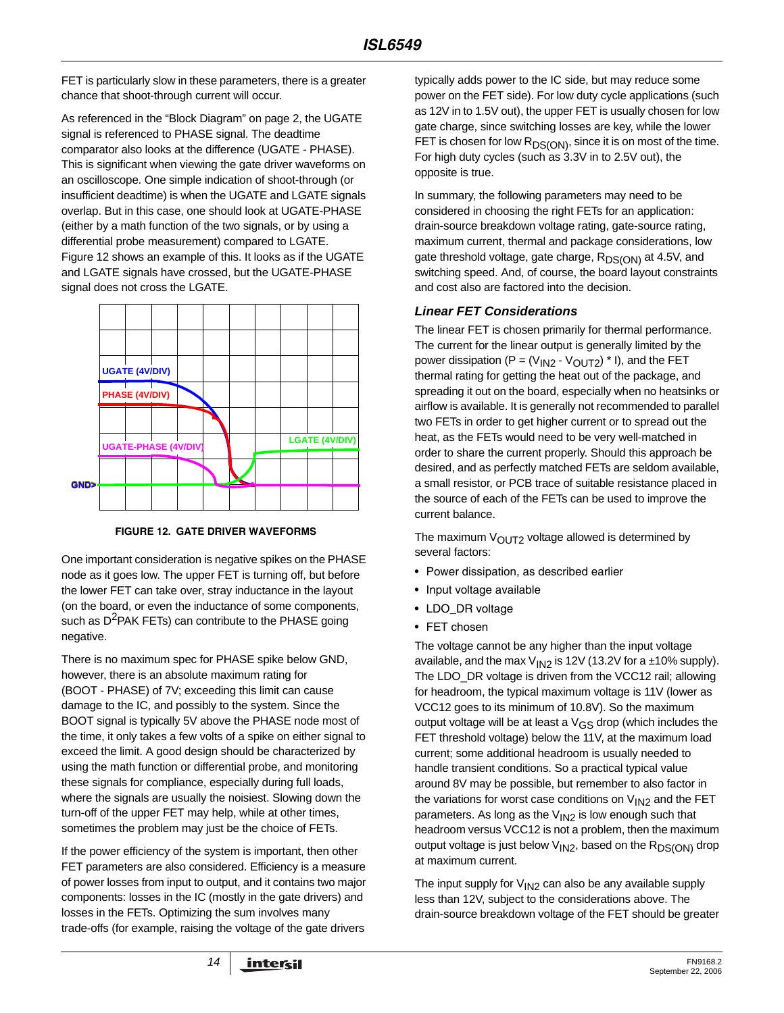FET is particularly slow in these parameters, there is a greater chance that shoot-through current will occur.

As referenced in the ["Block Diagram" on page 2,](#page-1-0) the UGATE signal is referenced to PHASE signal. The deadtime comparator also looks at the difference (UGATE - PHASE). This is significant when viewing the gate driver waveforms on an oscilloscope. One simple indication of shoot-through (or insufficient deadtime) is when the UGATE and LGATE signals overlap. But in this case, one should look at UGATE-PHASE (either by a math function of the two signals, or by using a differential probe measurement) compared to LGATE. Figure [12](#page-13-0) shows an example of this. It looks as if the UGATE and LGATE signals have crossed, but the UGATE-PHASE signal does not cross the LGATE.



**FIGURE 12. GATE DRIVER WAVEFORMS**

<span id="page-13-0"></span>One important consideration is negative spikes on the PHASE node as it goes low. The upper FET is turning off, but before the lower FET can take over, stray inductance in the layout (on the board, or even the inductance of some components, such as  $D^2PAK$  FETs) can contribute to the PHASE going negative.

There is no maximum spec for PHASE spike below GND, however, there is an absolute maximum rating for (BOOT - PHASE) of 7V; exceeding this limit can cause damage to the IC, and possibly to the system. Since the BOOT signal is typically 5V above the PHASE node most of the time, it only takes a few volts of a spike on either signal to exceed the limit. A good design should be characterized by using the math function or differential probe, and monitoring these signals for compliance, especially during full loads, where the signals are usually the noisiest. Slowing down the turn-off of the upper FET may help, while at other times, sometimes the problem may just be the choice of FETs.

If the power efficiency of the system is important, then other FET parameters are also considered. Efficiency is a measure of power losses from input to output, and it contains two major components: losses in the IC (mostly in the gate drivers) and losses in the FETs. Optimizing the sum involves many trade-offs (for example, raising the voltage of the gate drivers

typically adds power to the IC side, but may reduce some power on the FET side). For low duty cycle applications (such as 12V in to 1.5V out), the upper FET is usually chosen for low gate charge, since switching losses are key, while the lower FET is chosen for low  $R_{DS(ON)}$ , since it is on most of the time. For high duty cycles (such as 3.3V in to 2.5V out), the opposite is true.

In summary, the following parameters may need to be considered in choosing the right FETs for an application: drain-source breakdown voltage rating, gate-source rating, maximum current, thermal and package considerations, low gate threshold voltage, gate charge, R<sub>DS(ON)</sub> at 4.5V, and switching speed. And, of course, the board layout constraints and cost also are factored into the decision.

## *Linear FET Considerations*

The linear FET is chosen primarily for thermal performance. The current for the linear output is generally limited by the power dissipation (P =  $(V_{1N2} - V_{OUT2})$  \* I), and the FET thermal rating for getting the heat out of the package, and spreading it out on the board, especially when no heatsinks or airflow is available. It is generally not recommended to parallel two FETs in order to get higher current or to spread out the heat, as the FETs would need to be very well-matched in order to share the current properly. Should this approach be desired, and as perfectly matched FETs are seldom available, a small resistor, or PCB trace of suitable resistance placed in the source of each of the FETs can be used to improve the current balance.

The maximum  $V_{\text{OUT2}}$  voltage allowed is determined by several factors:

- Power dissipation, as described earlier
- Input voltage available
- LDO\_DR voltage
- FET chosen

The voltage cannot be any higher than the input voltage available, and the max  $V_{1N2}$  is 12V (13.2V for a  $\pm$ 10% supply). The LDO\_DR voltage is driven from the VCC12 rail; allowing for headroom, the typical maximum voltage is 11V (lower as VCC12 goes to its minimum of 10.8V). So the maximum output voltage will be at least a  $V_{GS}$  drop (which includes the FET threshold voltage) below the 11V, at the maximum load current; some additional headroom is usually needed to handle transient conditions. So a practical typical value around 8V may be possible, but remember to also factor in the variations for worst case conditions on  $V_{1N2}$  and the FET parameters. As long as the  $V_{1N2}$  is low enough such that headroom versus VCC12 is not a problem, then the maximum output voltage is just below  $V_{1N2}$ , based on the  $R_{DS(ON)}$  drop at maximum current.

The input supply for  $V_{1N2}$  can also be any available supply less than 12V, subject to the considerations above. The drain-source breakdown voltage of the FET should be greater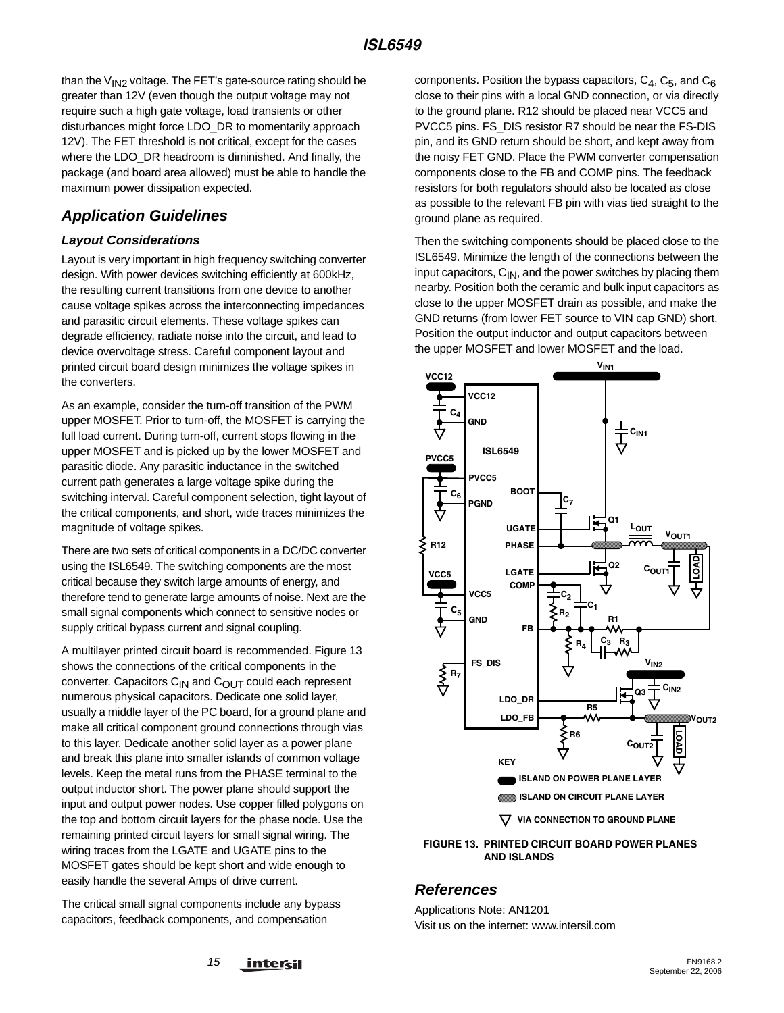than the  $V_{IN2}$  voltage. The FET's gate-source rating should be greater than 12V (even though the output voltage may not require such a high gate voltage, load transients or other disturbances might force LDO\_DR to momentarily approach 12V). The FET threshold is not critical, except for the cases where the LDO\_DR headroom is diminished. And finally, the package (and board area allowed) must be able to handle the maximum power dissipation expected.

# *Application Guidelines*

#### *Layout Considerations*

Layout is very important in high frequency switching converter design. With power devices switching efficiently at 600kHz, the resulting current transitions from one device to another cause voltage spikes across the interconnecting impedances and parasitic circuit elements. These voltage spikes can degrade efficiency, radiate noise into the circuit, and lead to device overvoltage stress. Careful component layout and printed circuit board design minimizes the voltage spikes in the converters.

As an example, consider the turn-off transition of the PWM upper MOSFET. Prior to turn-off, the MOSFET is carrying the full load current. During turn-off, current stops flowing in the upper MOSFET and is picked up by the lower MOSFET and parasitic diode. Any parasitic inductance in the switched current path generates a large voltage spike during the switching interval. Careful component selection, tight layout of the critical components, and short, wide traces minimizes the magnitude of voltage spikes.

There are two sets of critical components in a DC/DC converter using the ISL6549. The switching components are the most critical because they switch large amounts of energy, and therefore tend to generate large amounts of noise. Next are the small signal components which connect to sensitive nodes or supply critical bypass current and signal coupling.

A multilayer printed circuit board is recommended. Figure [13](#page-14-0)  shows the connections of the critical components in the converter. Capacitors  $C_{1N}$  and  $C_{\text{OUT}}$  could each represent numerous physical capacitors. Dedicate one solid layer, usually a middle layer of the PC board, for a ground plane and make all critical component ground connections through vias to this layer. Dedicate another solid layer as a power plane and break this plane into smaller islands of common voltage levels. Keep the metal runs from the PHASE terminal to the output inductor short. The power plane should support the input and output power nodes. Use copper filled polygons on the top and bottom circuit layers for the phase node. Use the remaining printed circuit layers for small signal wiring. The wiring traces from the LGATE and UGATE pins to the MOSFET gates should be kept short and wide enough to easily handle the several Amps of drive current.

The critical small signal components include any bypass capacitors, feedback components, and compensation

components. Position the bypass capacitors,  $C_4$ ,  $C_5$ , and  $C_6$ close to their pins with a local GND connection, or via directly to the ground plane. R12 should be placed near VCC5 and PVCC5 pins. FS\_DIS resistor R7 should be near the FS-DIS pin, and its GND return should be short, and kept away from the noisy FET GND. Place the PWM converter compensation components close to the FB and COMP pins. The feedback resistors for both regulators should also be located as close as possible to the relevant FB pin with vias tied straight to the ground plane as required.

Then the switching components should be placed close to the ISL6549. Minimize the length of the connections between the input capacitors,  $C_{IN}$ , and the power switches by placing them nearby. Position both the ceramic and bulk input capacitors as close to the upper MOSFET drain as possible, and make the GND returns (from lower FET source to VIN cap GND) short. Position the output inductor and output capacitors between the upper MOSFET and lower MOSFET and the load.



<span id="page-14-0"></span>**FIGURE 13. PRINTED CIRCUIT BOARD POWER PLANES AND ISLANDS**

## *References*

Applications Note: AN1201 Visit us on the internet: www.intersil.com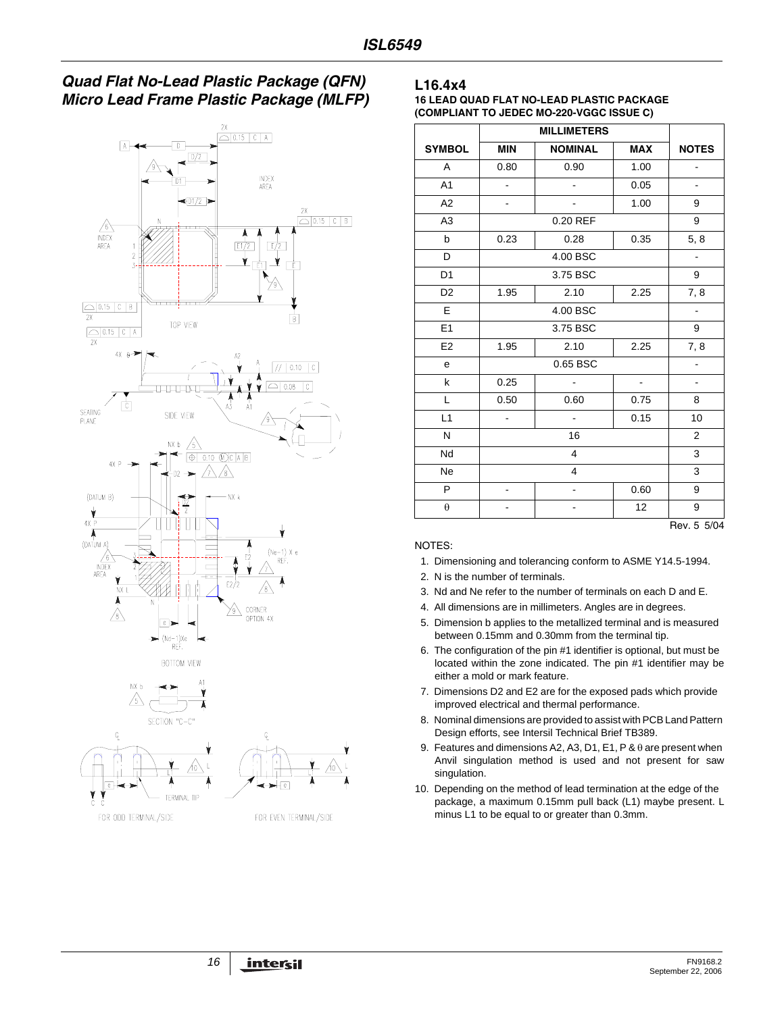## *Quad Flat No-Lead Plastic Package (QFN) Micro Lead Frame Plastic Package (MLFP)*





#### **L16.4x4**

**16 LEAD QUAD FLAT NO-LEAD PLASTIC PACKAGE (COMPLIANT TO JEDEC MO-220-VGGC ISSUE C)**

| <b>SYMBOL</b>  | <b>MIN</b>                   | <b>NOMINAL</b>           |                | <b>NOTES</b>   |  |  |  |
|----------------|------------------------------|--------------------------|----------------|----------------|--|--|--|
| A              | 0.80                         | 0.90                     | 1.00           |                |  |  |  |
| A <sub>1</sub> | $\overline{a}$               |                          | 0.05           | -              |  |  |  |
| A2             | $\blacksquare$               |                          | 1.00           | 9              |  |  |  |
| A <sub>3</sub> |                              | 0.20 REF                 |                | 9              |  |  |  |
| b              | 0.23                         | 0.28                     | 0.35           | 5, 8           |  |  |  |
| D              |                              | 4.00 BSC                 |                | $\blacksquare$ |  |  |  |
| D <sub>1</sub> |                              | 3.75 BSC                 |                | 9              |  |  |  |
| D <sub>2</sub> | 1.95                         | 2.10                     | 2.25           | 7, 8           |  |  |  |
| E              |                              | 4.00 BSC                 |                |                |  |  |  |
| E <sub>1</sub> |                              | 3.75 BSC                 |                |                |  |  |  |
| E <sub>2</sub> | 1.95                         | 2.10<br>2.25             |                |                |  |  |  |
| e              |                              | 0.65 BSC                 |                |                |  |  |  |
| k              | 0.25                         | $\blacksquare$           | $\blacksquare$ | $\overline{a}$ |  |  |  |
| L              | 0.50                         | 0.60                     | 0.75           | 8              |  |  |  |
| L1             | $\qquad \qquad \blacksquare$ | $\overline{\phantom{a}}$ | 0.15           | 10             |  |  |  |
| N              |                              | 16                       |                |                |  |  |  |
| Nd             |                              | 3                        |                |                |  |  |  |
| <b>Ne</b>      |                              | $\overline{4}$           |                |                |  |  |  |
| P              | ٠                            |                          | 0.60           | 9              |  |  |  |
| θ              |                              | 12                       | 9              |                |  |  |  |
|                |                              |                          |                | Rev. 5 5/04    |  |  |  |

#### NOTES:

- 1. Dimensioning and tolerancing conform to ASME Y14.5-1994.
- 2. N is the number of terminals.
- 3. Nd and Ne refer to the number of terminals on each D and E.
- 4. All dimensions are in millimeters. Angles are in degrees.
- 5. Dimension b applies to the metallized terminal and is measured between 0.15mm and 0.30mm from the terminal tip.
- 6. The configuration of the pin #1 identifier is optional, but must be located within the zone indicated. The pin #1 identifier may be either a mold or mark feature.
- 7. Dimensions D2 and E2 are for the exposed pads which provide improved electrical and thermal performance.
- 8. Nominal dimensions are provided to assist with PCB Land Pattern Design efforts, see Intersil Technical Brief TB389.
- 9. Features and dimensions A2, A3, D1, E1, P & θ are present when Anvil singulation method is used and not present for saw singulation.
- 10. Depending on the method of lead termination at the edge of the package, a maximum 0.15mm pull back (L1) maybe present. L minus L1 to be equal to or greater than 0.3mm.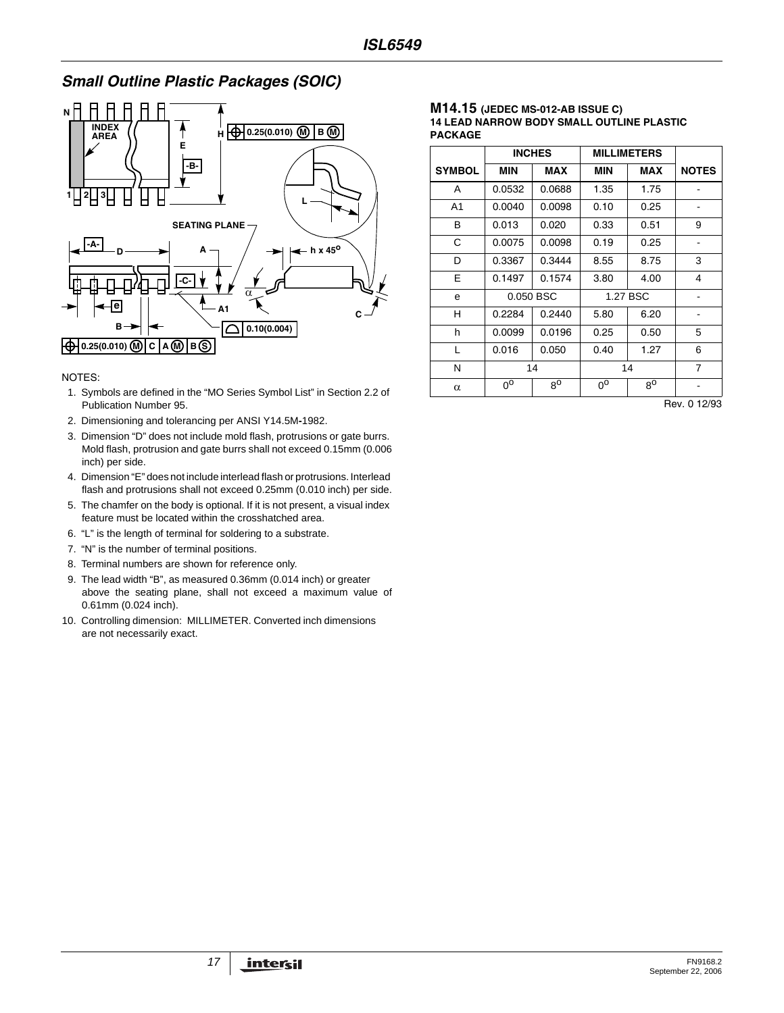# *Small Outline Plastic Packages (SOIC)*



#### NOTES:

- 1. Symbols are defined in the "MO Series Symbol List" in Section 2.2 of Publication Number 95.
- 2. Dimensioning and tolerancing per ANSI Y14.5M**-**1982.
- 3. Dimension "D" does not include mold flash, protrusions or gate burrs. Mold flash, protrusion and gate burrs shall not exceed 0.15mm (0.006 inch) per side.
- 4. Dimension "E" does not include interlead flash or protrusions. Interlead flash and protrusions shall not exceed 0.25mm (0.010 inch) per side.
- 5. The chamfer on the body is optional. If it is not present, a visual index feature must be located within the crosshatched area.
- 6. "L" is the length of terminal for soldering to a substrate.
- 7. "N" is the number of terminal positions.
- 8. Terminal numbers are shown for reference only.
- 9. The lead width "B", as measured 0.36mm (0.014 inch) or greater above the seating plane, shall not exceed a maximum value of 0.61mm (0.024 inch).
- 10. Controlling dimension: MILLIMETER. Converted inch dimensions are not necessarily exact.

#### **M14.15 (JEDEC MS-012-AB ISSUE C) 14 LEAD NARROW BODY SMALL OUTLINE PLASTIC PACKAGE**

|                | <b>INCHES</b> |             | <b>MILLIMETERS</b> |             |              |
|----------------|---------------|-------------|--------------------|-------------|--------------|
| <b>SYMBOL</b>  | <b>MIN</b>    | <b>MAX</b>  | <b>MIN</b>         | <b>MAX</b>  | <b>NOTES</b> |
| A              | 0.0532        | 0.0688      | 1.35               | 1.75        |              |
| A <sub>1</sub> | 0.0040        | 0.0098      | 0.10               | 0.25        |              |
| В              | 0.013         | 0.020       | 0.33               | 0.51        | 9            |
| C              | 0.0075        | 0.0098      | 0.19               | 0.25        |              |
| D              | 0.3367        | 0.3444      | 8.55               | 8.75        | 3            |
| E              | 0.1497        | 0.1574      | 3.80               | 4.00        | 4            |
| e              |               | 0.050 BSC   | 1.27 BSC           |             |              |
| н              | 0.2284        | 0.2440      | 5.80               | 6.20        |              |
| h              | 0.0099        | 0.0196      | 0.25               | 0.50        | 5            |
| L              | 0.016         | 0.050       | 0.40               | 1.27        | 6            |
| N              | 14            |             |                    | 14          | 7            |
| $\alpha$       | $0^{\rm o}$   | $8^{\circ}$ | 00                 | $8^{\circ}$ |              |

Rev. 0 12/93